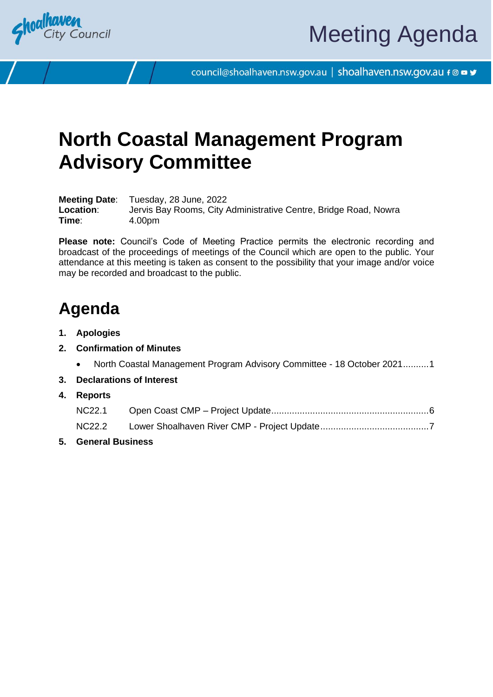

council@shoalhaven.nsw.gov.au | shoalhaven.nsw.gov.au f @ ■ y

# **North Coastal Management Program Advisory Committee**

**Meeting Date**: Tuesday, 28 June, 2022 **Location**: Jervis Bay Rooms, City Administrative Centre, Bridge Road, Nowra **Time**: 4.00pm

**Please note:** Council's Code of Meeting Practice permits the electronic recording and broadcast of the proceedings of meetings of the Council which are open to the public. Your attendance at this meeting is taken as consent to the possibility that your image and/or voice may be recorded and broadcast to the public.

## **Agenda**

- **1. Apologies**
- **2. Confirmation of Minutes**
	- North Coastal Management Program Advisory Committee 18 October 2021.........[.1](#page-2-0)
- **3. Declarations of Interest**
- **4. Reports**

**5. General Business**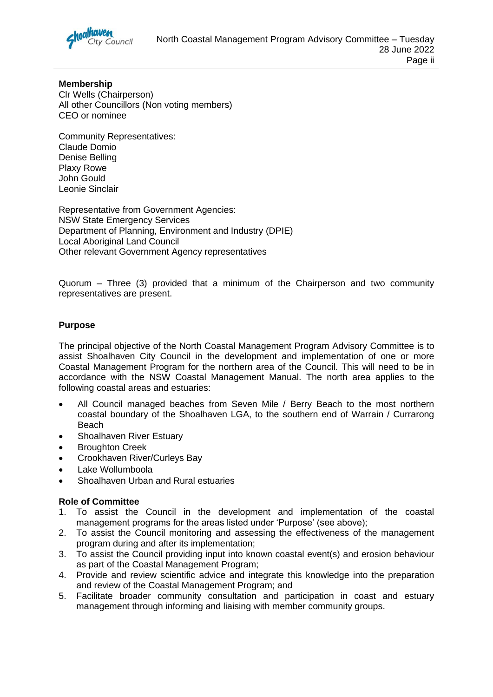

**Membership** Clr Wells (Chairperson) All other Councillors (Non voting members) CEO or nominee

Community Representatives: Claude Domio Denise Belling Plaxy Rowe John Gould Leonie Sinclair

Representative from Government Agencies: NSW State Emergency Services Department of Planning, Environment and Industry (DPIE) Local Aboriginal Land Council Other relevant Government Agency representatives

Quorum – Three (3) provided that a minimum of the Chairperson and two community representatives are present.

#### **Purpose**

The principal objective of the North Coastal Management Program Advisory Committee is to assist Shoalhaven City Council in the development and implementation of one or more Coastal Management Program for the northern area of the Council. This will need to be in accordance with the NSW Coastal Management Manual. The north area applies to the following coastal areas and estuaries:

- All Council managed beaches from Seven Mile / Berry Beach to the most northern coastal boundary of the Shoalhaven LGA, to the southern end of Warrain / Currarong Beach
- Shoalhaven River Estuary
- Broughton Creek
- Crookhaven River/Curleys Bay
- Lake Wollumboola
- Shoalhaven Urban and Rural estuaries

#### **Role of Committee**

- 1. To assist the Council in the development and implementation of the coastal management programs for the areas listed under 'Purpose' (see above);
- 2. To assist the Council monitoring and assessing the effectiveness of the management program during and after its implementation;
- 3. To assist the Council providing input into known coastal event(s) and erosion behaviour as part of the Coastal Management Program;
- 4. Provide and review scientific advice and integrate this knowledge into the preparation and review of the Coastal Management Program; and
- 5. Facilitate broader community consultation and participation in coast and estuary management through informing and liaising with member community groups.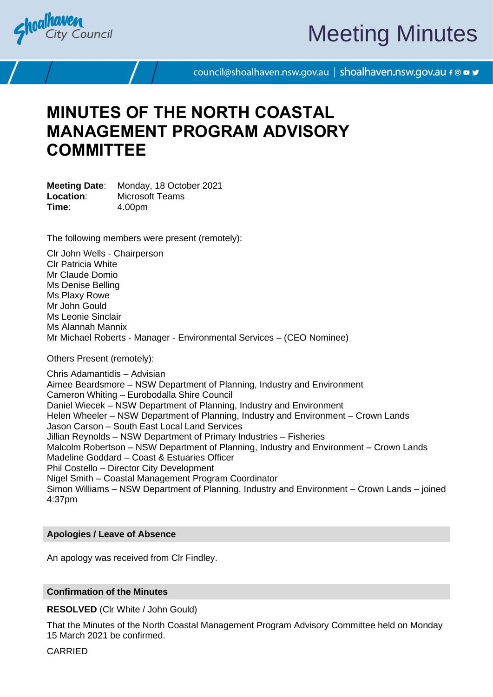<span id="page-2-0"></span>

# Meeting Minutes

council@shoalhaven.nsw.gov.au | shoalhaven.nsw.gov.au f @ ■ y

## **MINUTES OF THE NORTH COASTAL MANAGEMENT PROGRAM ADVISORY COMMITTEE**

**Meeting Date**: Monday, 18 October 2021 **Location**: Microsoft Teams **Time**: 4.00pm

The following members were present (remotely):

Clr John Wells - Chairperson Clr Patricia White Mr Claude Domio Ms Denise Belling Ms Plaxy Rowe Mr John Gould Ms Leonie Sinclair Ms Alannah Mannix Mr Michael Roberts - Manager - Environmental Services – (CEO Nominee)

Others Present (remotely):

Chris Adamantidis – Advisian Aimee Beardsmore – NSW Department of Planning, Industry and Environment Cameron Whiting – Eurobodalla Shire Council Daniel Wiecek – NSW Department of Planning, Industry and Environment Helen Wheeler – NSW Department of Planning, Industry and Environment – Crown Lands Jason Carson – South East Local Land Services Jillian Reynolds – NSW Department of Primary Industries – Fisheries Malcolm Robertson – NSW Department of Planning, Industry and Environment – Crown Lands Madeline Goddard – Coast & Estuaries Officer Phil Costello – Director City Development Nigel Smith – Coastal Management Program Coordinator Simon Williams – NSW Department of Planning, Industry and Environment – Crown Lands – joined 4:37pm

#### **Apologies / Leave of Absence**

An apology was received from Clr Findley.

#### **Confirmation of the Minutes**

**RESOLVED** (Clr White / John Gould)

That the Minutes of the North Coastal Management Program Advisory Committee held on Monday 15 March 2021 be confirmed.

**CARRIED**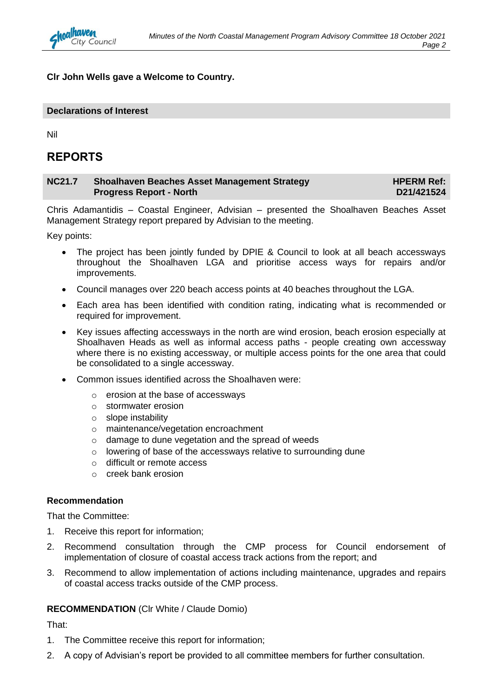**Clr John Wells gave a Welcome to Country.**

#### **Declarations of Interest**

Nil

#### **REPORTS**

| <b>NC21.7</b> | <b>Shoalhaven Beaches Asset Management Strategy</b> | <b>HPERM Ref:</b> |
|---------------|-----------------------------------------------------|-------------------|
|               | <b>Progress Report - North</b>                      | D21/421524        |

Chris Adamantidis – Coastal Engineer, Advisian – presented the Shoalhaven Beaches Asset Management Strategy report prepared by Advisian to the meeting.

Key points:

- The project has been jointly funded by DPIE & Council to look at all beach accessways throughout the Shoalhaven LGA and prioritise access ways for repairs and/or improvements.
- Council manages over 220 beach access points at 40 beaches throughout the LGA.
- Each area has been identified with condition rating, indicating what is recommended or required for improvement.
- Key issues affecting accessways in the north are wind erosion, beach erosion especially at Shoalhaven Heads as well as informal access paths - people creating own accessway where there is no existing accessway, or multiple access points for the one area that could be consolidated to a single accessway.
- Common issues identified across the Shoalhaven were:
	- o erosion at the base of accessways
	- o stormwater erosion
	- o slope instability
	- o maintenance/vegetation encroachment
	- o damage to dune vegetation and the spread of weeds
	- o lowering of base of the accessways relative to surrounding dune
	- o difficult or remote access
	- o creek bank erosion

#### **Recommendation**

That the Committee:

- 1. Receive this report for information;
- 2. Recommend consultation through the CMP process for Council endorsement of implementation of closure of coastal access track actions from the report; and
- 3. Recommend to allow implementation of actions including maintenance, upgrades and repairs of coastal access tracks outside of the CMP process.

#### **RECOMMENDATION** (Clr White / Claude Domio)

That:

- 1. The Committee receive this report for information;
- 2. A copy of Advisian's report be provided to all committee members for further consultation.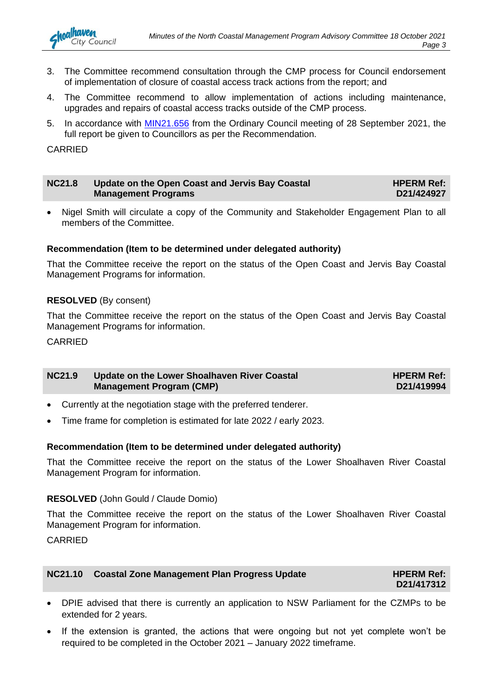

- 3. The Committee recommend consultation through the CMP process for Council endorsement of implementation of closure of coastal access track actions from the report; and
- 4. The Committee recommend to allow implementation of actions including maintenance, upgrades and repairs of coastal access tracks outside of the CMP process.
- 5. In accordance with [MIN21.656](https://shoalhaven.infocouncil.biz/Open/2021/09/CL_20210928_MIN_16430_WEB.htm) from the Ordinary Council meeting of 28 September 2021, the full report be given to Councillors as per the Recommendation.

CARRIED

| <b>NC21.8</b> | Update on the Open Coast and Jervis Bay Coastal | <b>HPERM Ref:</b> |
|---------------|-------------------------------------------------|-------------------|
|               | <b>Management Programs</b>                      | D21/424927        |

• Nigel Smith will circulate a copy of the Community and Stakeholder Engagement Plan to all members of the Committee.

#### **Recommendation (Item to be determined under delegated authority)**

That the Committee receive the report on the status of the Open Coast and Jervis Bay Coastal Management Programs for information.

#### **RESOLVED** (By consent)

That the Committee receive the report on the status of the Open Coast and Jervis Bay Coastal Management Programs for information.

CARRIED

| <b>NC21.9</b> | Update on the Lower Shoalhaven River Coastal | <b>HPERM Ref:</b> |
|---------------|----------------------------------------------|-------------------|
|               | <b>Management Program (CMP)</b>              | D21/419994        |

- Currently at the negotiation stage with the preferred tenderer.
- Time frame for completion is estimated for late 2022 / early 2023.

#### **Recommendation (Item to be determined under delegated authority)**

That the Committee receive the report on the status of the Lower Shoalhaven River Coastal Management Program for information.

#### **RESOLVED** (John Gould / Claude Domio)

That the Committee receive the report on the status of the Lower Shoalhaven River Coastal Management Program for information.

**CARRIED** 

| NC21.10 Coastal Zone Management Plan Progress Update | <b>HPERM Ref:</b> |
|------------------------------------------------------|-------------------|
|                                                      | D21/417312        |

- DPIE advised that there is currently an application to NSW Parliament for the CZMPs to be extended for 2 years.
- If the extension is granted, the actions that were ongoing but not yet complete won't be required to be completed in the October 2021 – January 2022 timeframe.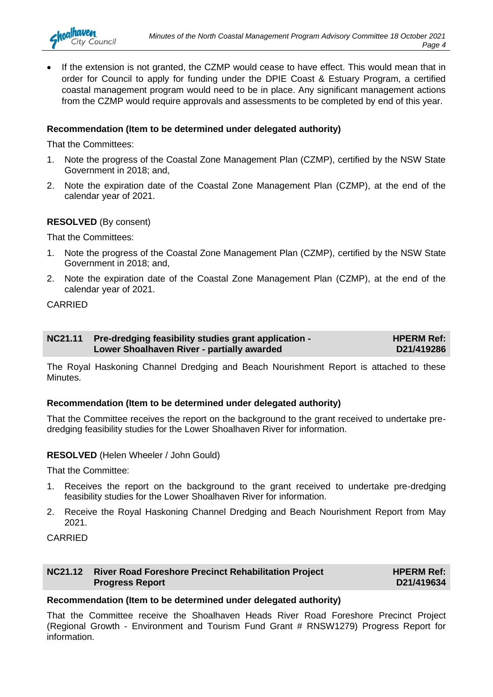• If the extension is not granted, the CZMP would cease to have effect. This would mean that in order for Council to apply for funding under the DPIE Coast & Estuary Program, a certified coastal management program would need to be in place. Any significant management actions from the CZMP would require approvals and assessments to be completed by end of this year.

#### **Recommendation (Item to be determined under delegated authority)**

That the Committees:

nalhaven

**City Council** 

- 1. Note the progress of the Coastal Zone Management Plan (CZMP), certified by the NSW State Government in 2018; and,
- 2. Note the expiration date of the Coastal Zone Management Plan (CZMP), at the end of the calendar year of 2021.

#### **RESOLVED** (By consent)

That the Committees:

- 1. Note the progress of the Coastal Zone Management Plan (CZMP), certified by the NSW State Government in 2018; and,
- 2. Note the expiration date of the Coastal Zone Management Plan (CZMP), at the end of the calendar year of 2021.

#### CARRIED

| NC21.11 Pre-dredging feasibility studies grant application - | <b>HPERM Ref:</b> |
|--------------------------------------------------------------|-------------------|
| Lower Shoalhaven River - partially awarded                   | D21/419286        |

The Royal Haskoning Channel Dredging and Beach Nourishment Report is attached to these **Minutes** 

#### **Recommendation (Item to be determined under delegated authority)**

That the Committee receives the report on the background to the grant received to undertake predredging feasibility studies for the Lower Shoalhaven River for information.

#### **RESOLVED** (Helen Wheeler / John Gould)

That the Committee:

- 1. Receives the report on the background to the grant received to undertake pre-dredging feasibility studies for the Lower Shoalhaven River for information.
- 2. Receive the Royal Haskoning Channel Dredging and Beach Nourishment Report from May 2021.

#### CARRIED

#### **NC21.12 River Road Foreshore Precinct Rehabilitation Project Progress Report**

**HPERM Ref: D21/419634**

#### **Recommendation (Item to be determined under delegated authority)**

That the Committee receive the Shoalhaven Heads River Road Foreshore Precinct Project (Regional Growth - Environment and Tourism Fund Grant # RNSW1279) Progress Report for information.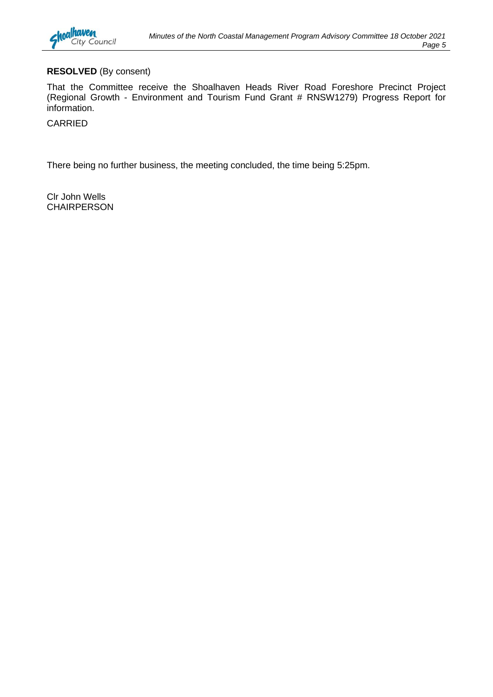

#### **RESOLVED** (By consent)

That the Committee receive the Shoalhaven Heads River Road Foreshore Precinct Project (Regional Growth - Environment and Tourism Fund Grant # RNSW1279) Progress Report for information.

CARRIED

There being no further business, the meeting concluded, the time being 5:25pm.

Clr John Wells **CHAIRPERSON**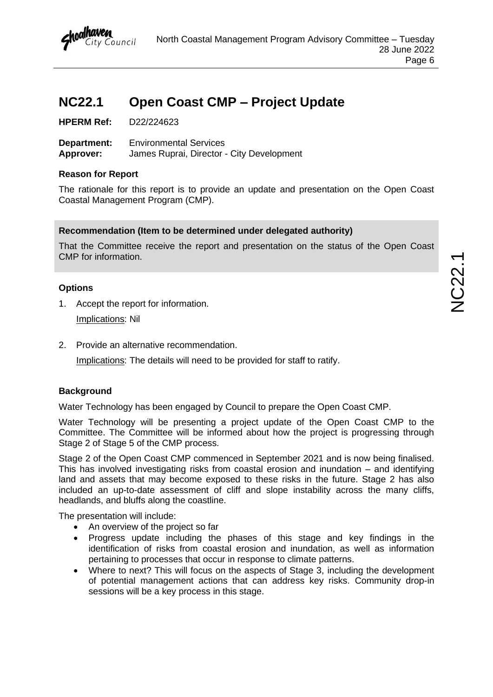

## <span id="page-7-0"></span>**NC22.1 Open Coast CMP – Project Update**

**HPERM Ref:** D22/224623

**Department:** Environmental Services **Approver:** James Ruprai, Director - City Development

#### **Reason for Report**

The rationale for this report is to provide an update and presentation on the Open Coast Coastal Management Program (CMP).

#### **Recommendation (Item to be determined under delegated authority)**

That the Committee receive the report and presentation on the status of the Open Coast CMP for information.

#### **Options**

- 1. Accept the report for information. Implications: Nil
- 2. Provide an alternative recommendation.

Implications: The details will need to be provided for staff to ratify.

#### **Background**

Water Technology has been engaged by Council to prepare the Open Coast CMP.

Water Technology will be presenting a project update of the Open Coast CMP to the Committee. The Committee will be informed about how the project is progressing through Stage 2 of Stage 5 of the CMP process.

Stage 2 of the Open Coast CMP commenced in September 2021 and is now being finalised. This has involved investigating risks from coastal erosion and inundation – and identifying land and assets that may become exposed to these risks in the future. Stage 2 has also included an up-to-date assessment of cliff and slope instability across the many cliffs, headlands, and bluffs along the coastline.

The presentation will include:

- An overview of the project so far
- Progress update including the phases of this stage and key findings in the identification of risks from coastal erosion and inundation, as well as information pertaining to processes that occur in response to climate patterns.
- Where to next? This will focus on the aspects of Stage 3, including the development of potential management actions that can address key risks. Community drop-in sessions will be a key process in this stage.